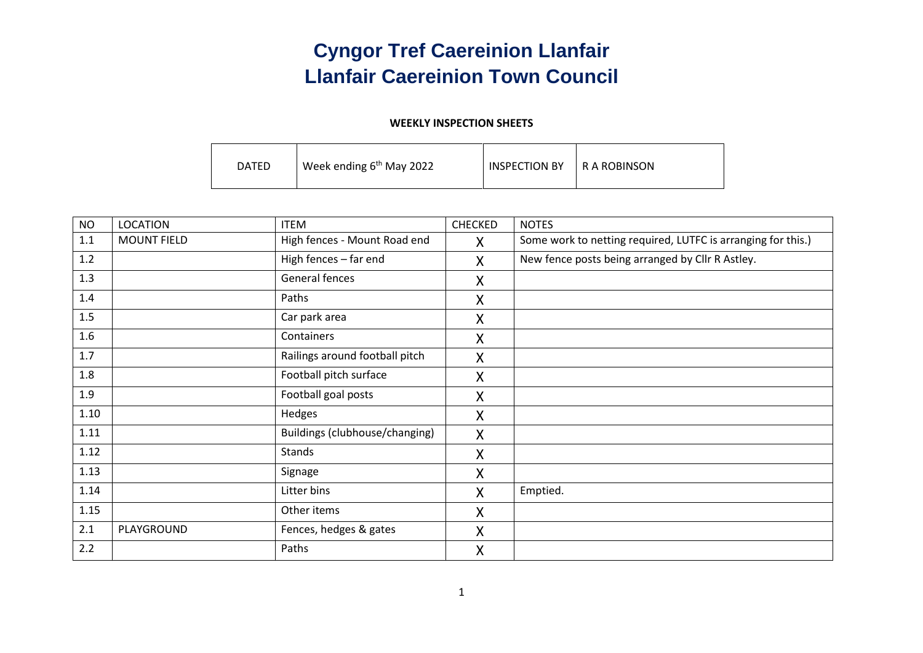### **Cyngor Tref Caereinion Llanfair Llanfair Caereinion Town Council**

#### **WEEKLY INSPECTION SHEETS**

| <b>DATED</b> | Week ending $6th$ May 2022 | <b>INSPECTION BY</b> | I R A ROBINSON |
|--------------|----------------------------|----------------------|----------------|
|--------------|----------------------------|----------------------|----------------|

| <b>NO</b> | <b>LOCATION</b>    | <b>ITEM</b>                    | <b>CHECKED</b> | <b>NOTES</b>                                                 |
|-----------|--------------------|--------------------------------|----------------|--------------------------------------------------------------|
| 1.1       | <b>MOUNT FIELD</b> | High fences - Mount Road end   | X.             | Some work to netting required, LUTFC is arranging for this.) |
| 1.2       |                    | High fences - far end          | X              | New fence posts being arranged by Cllr R Astley.             |
| 1.3       |                    | General fences                 | X              |                                                              |
| 1.4       |                    | Paths                          | X              |                                                              |
| 1.5       |                    | Car park area                  | X              |                                                              |
| 1.6       |                    | Containers                     | $\mathsf{X}$   |                                                              |
| 1.7       |                    | Railings around football pitch | X              |                                                              |
| 1.8       |                    | Football pitch surface         | X              |                                                              |
| 1.9       |                    | Football goal posts            | X              |                                                              |
| 1.10      |                    | Hedges                         | X              |                                                              |
| 1.11      |                    | Buildings (clubhouse/changing) | X              |                                                              |
| 1.12      |                    | <b>Stands</b>                  | X              |                                                              |
| 1.13      |                    | Signage                        | X              |                                                              |
| 1.14      |                    | Litter bins                    | $\mathsf{X}$   | Emptied.                                                     |
| 1.15      |                    | Other items                    | X              |                                                              |
| 2.1       | PLAYGROUND         | Fences, hedges & gates         | X              |                                                              |
| 2.2       |                    | Paths                          | X              |                                                              |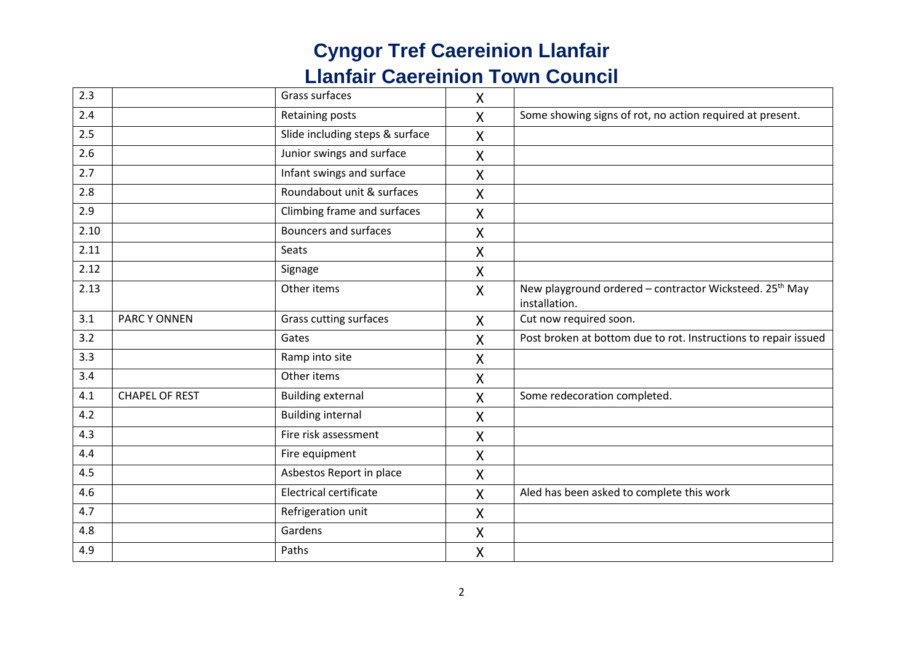| 2.3  |                       | Grass surfaces                  | X                         |                                                                                      |
|------|-----------------------|---------------------------------|---------------------------|--------------------------------------------------------------------------------------|
| 2.4  |                       | Retaining posts                 | $\mathsf{X}$              | Some showing signs of rot, no action required at present.                            |
| 2.5  |                       | Slide including steps & surface | X                         |                                                                                      |
| 2.6  |                       | Junior swings and surface       | X                         |                                                                                      |
| 2.7  |                       | Infant swings and surface       | $\overline{X}$            |                                                                                      |
| 2.8  |                       | Roundabout unit & surfaces      | X                         |                                                                                      |
| 2.9  |                       | Climbing frame and surfaces     | Χ                         |                                                                                      |
| 2.10 |                       | <b>Bouncers and surfaces</b>    | X                         |                                                                                      |
| 2.11 |                       | Seats                           | Χ                         |                                                                                      |
| 2.12 |                       | Signage                         | X                         |                                                                                      |
| 2.13 |                       | Other items                     | $\boldsymbol{\mathsf{X}}$ | New playground ordered - contractor Wicksteed. 25 <sup>th</sup> May<br>installation. |
| 3.1  | <b>PARCY ONNEN</b>    | Grass cutting surfaces          | $\mathsf{X}$              | Cut now required soon.                                                               |
| 3.2  |                       | Gates                           | X                         | Post broken at bottom due to rot. Instructions to repair issued                      |
| 3.3  |                       | Ramp into site                  | X                         |                                                                                      |
| 3.4  |                       | Other items                     | X                         |                                                                                      |
| 4.1  | <b>CHAPEL OF REST</b> | <b>Building external</b>        | X                         | Some redecoration completed.                                                         |
| 4.2  |                       | <b>Building internal</b>        | $\boldsymbol{\mathsf{X}}$ |                                                                                      |
| 4.3  |                       | Fire risk assessment            | X                         |                                                                                      |
| 4.4  |                       | Fire equipment                  | Χ                         |                                                                                      |
| 4.5  |                       | Asbestos Report in place        | X                         |                                                                                      |
| 4.6  |                       | Electrical certificate          | X                         | Aled has been asked to complete this work                                            |
| 4.7  |                       | Refrigeration unit              | Χ                         |                                                                                      |
| 4.8  |                       | Gardens                         | X                         |                                                                                      |
| 4.9  |                       | Paths                           | $\mathsf{X}$              |                                                                                      |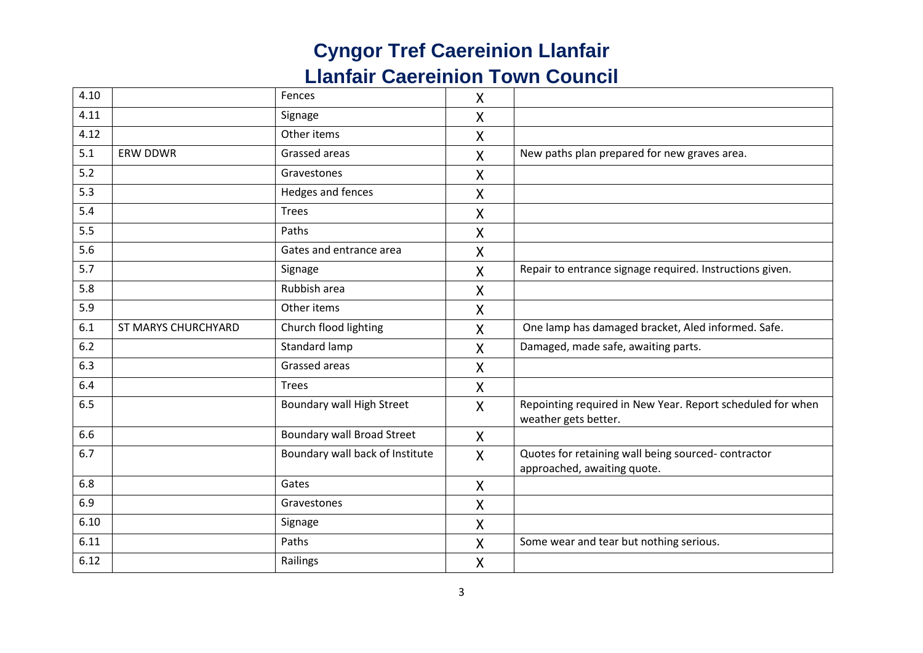| 4.10 |                     | Fences                            | X                  |                                                                                    |
|------|---------------------|-----------------------------------|--------------------|------------------------------------------------------------------------------------|
| 4.11 |                     | Signage                           | Χ                  |                                                                                    |
| 4.12 |                     | Other items                       | $\pmb{\mathsf{X}}$ |                                                                                    |
| 5.1  | <b>ERW DDWR</b>     | Grassed areas                     | $\mathsf{X}$       | New paths plan prepared for new graves area.                                       |
| 5.2  |                     | Gravestones                       | X                  |                                                                                    |
| 5.3  |                     | Hedges and fences                 | $\mathsf{X}$       |                                                                                    |
| 5.4  |                     | <b>Trees</b>                      | X                  |                                                                                    |
| 5.5  |                     | Paths                             | Χ                  |                                                                                    |
| 5.6  |                     | Gates and entrance area           | X                  |                                                                                    |
| 5.7  |                     | Signage                           | X                  | Repair to entrance signage required. Instructions given.                           |
| 5.8  |                     | Rubbish area                      | X                  |                                                                                    |
| 5.9  |                     | Other items                       | X                  |                                                                                    |
| 6.1  | ST MARYS CHURCHYARD | Church flood lighting             | X                  | One lamp has damaged bracket, Aled informed. Safe.                                 |
| 6.2  |                     | Standard lamp                     | X                  | Damaged, made safe, awaiting parts.                                                |
| 6.3  |                     | Grassed areas                     | X                  |                                                                                    |
| 6.4  |                     | Trees                             | X                  |                                                                                    |
| 6.5  |                     | Boundary wall High Street         | $\mathsf{X}$       | Repointing required in New Year. Report scheduled for when<br>weather gets better. |
| 6.6  |                     | <b>Boundary wall Broad Street</b> | X                  |                                                                                    |
| 6.7  |                     | Boundary wall back of Institute   | $\mathsf{X}$       | Quotes for retaining wall being sourced-contractor<br>approached, awaiting quote.  |
| 6.8  |                     | Gates                             | X                  |                                                                                    |
| 6.9  |                     | Gravestones                       | X                  |                                                                                    |
| 6.10 |                     | Signage                           | X                  |                                                                                    |
| 6.11 |                     | Paths                             | X                  | Some wear and tear but nothing serious.                                            |
| 6.12 |                     | Railings                          | X                  |                                                                                    |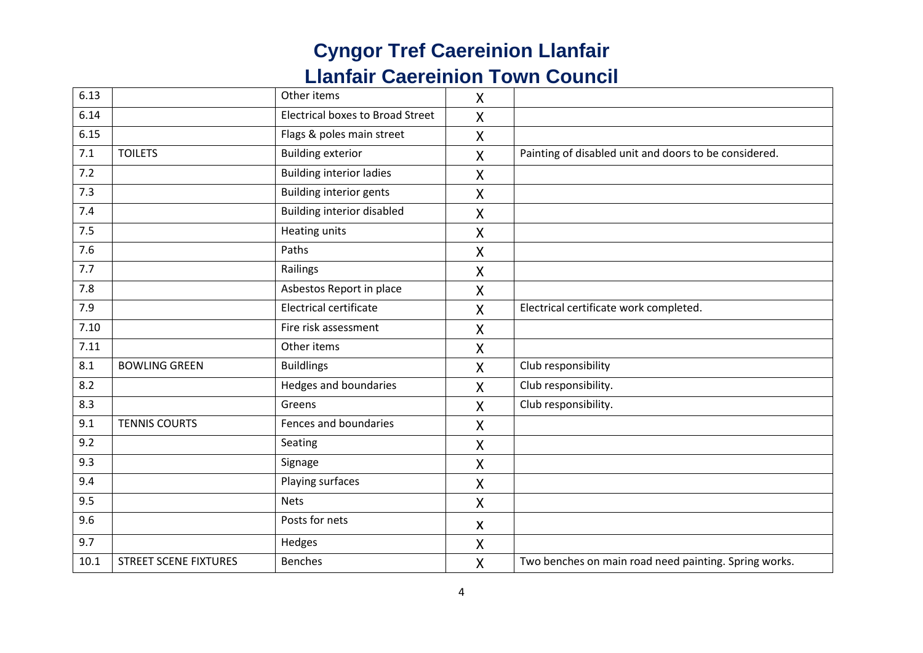| 6.13 |                              | Other items                             | $\mathsf{X}$              |                                                       |
|------|------------------------------|-----------------------------------------|---------------------------|-------------------------------------------------------|
| 6.14 |                              | <b>Electrical boxes to Broad Street</b> | $\mathsf{X}$              |                                                       |
| 6.15 |                              | Flags & poles main street               | $\pmb{\mathsf{X}}$        |                                                       |
| 7.1  | <b>TOILETS</b>               | <b>Building exterior</b>                | X                         | Painting of disabled unit and doors to be considered. |
| 7.2  |                              | <b>Building interior ladies</b>         | $\pmb{\mathsf{X}}$        |                                                       |
| 7.3  |                              | <b>Building interior gents</b>          | X                         |                                                       |
| 7.4  |                              | <b>Building interior disabled</b>       | $\mathsf{X}$              |                                                       |
| 7.5  |                              | <b>Heating units</b>                    | $\boldsymbol{\mathsf{X}}$ |                                                       |
| 7.6  |                              | Paths                                   | $\mathsf{X}$              |                                                       |
| 7.7  |                              | Railings                                | X                         |                                                       |
| 7.8  |                              | Asbestos Report in place                | X                         |                                                       |
| 7.9  |                              | <b>Electrical certificate</b>           | $\mathsf{X}$              | Electrical certificate work completed.                |
| 7.10 |                              | Fire risk assessment                    | X                         |                                                       |
| 7.11 |                              | Other items                             | X                         |                                                       |
| 8.1  | <b>BOWLING GREEN</b>         | <b>Buildlings</b>                       | $\mathsf{X}$              | Club responsibility                                   |
| 8.2  |                              | Hedges and boundaries                   | X                         | Club responsibility.                                  |
| 8.3  |                              | Greens                                  | X                         | Club responsibility.                                  |
| 9.1  | <b>TENNIS COURTS</b>         | Fences and boundaries                   | $\mathsf{X}$              |                                                       |
| 9.2  |                              | Seating                                 | $\pmb{\mathsf{X}}$        |                                                       |
| 9.3  |                              | Signage                                 | Χ                         |                                                       |
| 9.4  |                              | Playing surfaces                        | X                         |                                                       |
| 9.5  |                              | <b>Nets</b>                             | X                         |                                                       |
| 9.6  |                              | Posts for nets                          | X                         |                                                       |
| 9.7  |                              | Hedges                                  | X                         |                                                       |
| 10.1 | <b>STREET SCENE FIXTURES</b> | <b>Benches</b>                          | $\pmb{\mathsf{X}}$        | Two benches on main road need painting. Spring works. |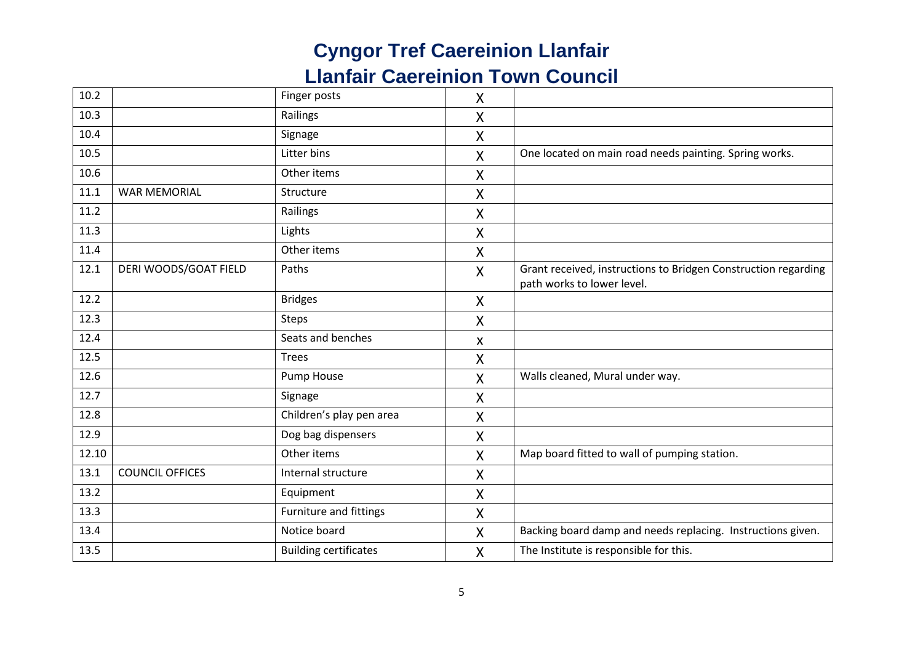| 10.2  |                        | Finger posts                 | X                  |                                                                                              |
|-------|------------------------|------------------------------|--------------------|----------------------------------------------------------------------------------------------|
| 10.3  |                        | Railings                     | $\mathsf{X}$       |                                                                                              |
| 10.4  |                        | Signage                      | X                  |                                                                                              |
| 10.5  |                        | Litter bins                  | X                  | One located on main road needs painting. Spring works.                                       |
| 10.6  |                        | Other items                  | X                  |                                                                                              |
| 11.1  | <b>WAR MEMORIAL</b>    | Structure                    | X                  |                                                                                              |
| 11.2  |                        | Railings                     | X                  |                                                                                              |
| 11.3  |                        | Lights                       | X                  |                                                                                              |
| 11.4  |                        | Other items                  | X                  |                                                                                              |
| 12.1  | DERI WOODS/GOAT FIELD  | Paths                        | $\mathsf{X}$       | Grant received, instructions to Bridgen Construction regarding<br>path works to lower level. |
| 12.2  |                        | <b>Bridges</b>               | X                  |                                                                                              |
| 12.3  |                        | <b>Steps</b>                 | X                  |                                                                                              |
| 12.4  |                        | Seats and benches            | X                  |                                                                                              |
| 12.5  |                        | Trees                        | $\pmb{\mathsf{X}}$ |                                                                                              |
| 12.6  |                        | Pump House                   | X                  | Walls cleaned, Mural under way.                                                              |
| 12.7  |                        | Signage                      | X                  |                                                                                              |
| 12.8  |                        | Children's play pen area     | X                  |                                                                                              |
| 12.9  |                        | Dog bag dispensers           | $\sf X$            |                                                                                              |
| 12.10 |                        | Other items                  | X                  | Map board fitted to wall of pumping station.                                                 |
| 13.1  | <b>COUNCIL OFFICES</b> | Internal structure           | $\pmb{\mathsf{X}}$ |                                                                                              |
| 13.2  |                        | Equipment                    | $\pmb{\mathsf{X}}$ |                                                                                              |
| 13.3  |                        | Furniture and fittings       | $\pmb{\mathsf{X}}$ |                                                                                              |
| 13.4  |                        | Notice board                 | X                  | Backing board damp and needs replacing. Instructions given.                                  |
| 13.5  |                        | <b>Building certificates</b> | $\pmb{\mathsf{X}}$ | The Institute is responsible for this.                                                       |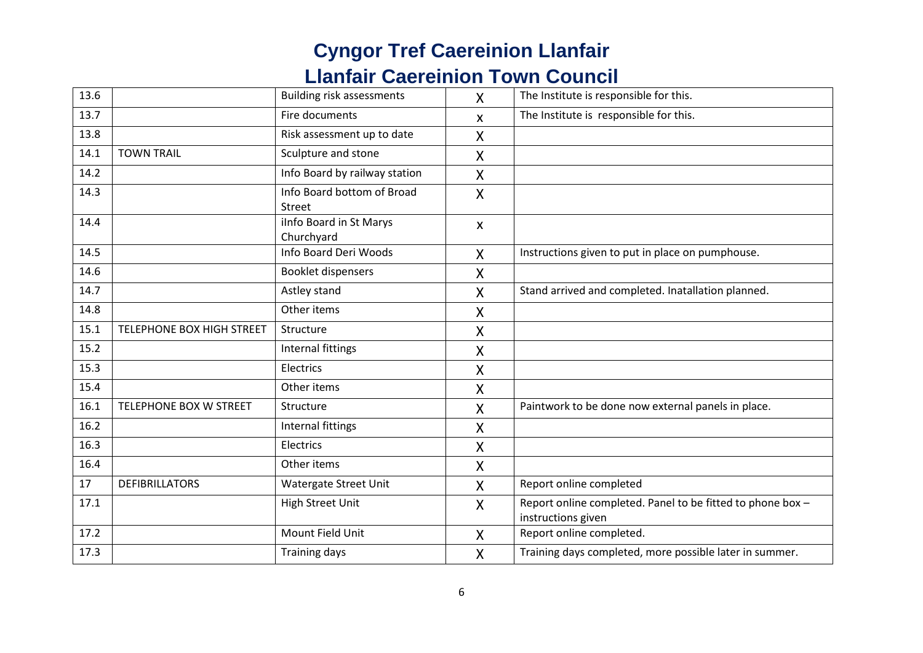| 13.6 |                           | <b>Building risk assessments</b>      | $\mathsf{X}$              | The Institute is responsible for this.                                           |
|------|---------------------------|---------------------------------------|---------------------------|----------------------------------------------------------------------------------|
| 13.7 |                           | Fire documents                        | X                         | The Institute is responsible for this.                                           |
| 13.8 |                           | Risk assessment up to date            | $\mathsf{X}$              |                                                                                  |
| 14.1 | <b>TOWN TRAIL</b>         | Sculpture and stone                   | X                         |                                                                                  |
| 14.2 |                           | Info Board by railway station         | $\sf X$                   |                                                                                  |
| 14.3 |                           | Info Board bottom of Broad<br>Street  | X                         |                                                                                  |
| 14.4 |                           | ilnfo Board in St Marys<br>Churchyard | $\boldsymbol{\mathsf{x}}$ |                                                                                  |
| 14.5 |                           | Info Board Deri Woods                 | $\mathsf{X}$              | Instructions given to put in place on pumphouse.                                 |
| 14.6 |                           | <b>Booklet dispensers</b>             | X                         |                                                                                  |
| 14.7 |                           | Astley stand                          | $\mathsf{X}$              | Stand arrived and completed. Inatallation planned.                               |
| 14.8 |                           | Other items                           | X                         |                                                                                  |
| 15.1 | TELEPHONE BOX HIGH STREET | Structure                             | $\mathsf{X}$              |                                                                                  |
| 15.2 |                           | Internal fittings                     | X                         |                                                                                  |
| 15.3 |                           | Electrics                             | X                         |                                                                                  |
| 15.4 |                           | Other items                           | $\mathsf{X}$              |                                                                                  |
| 16.1 | TELEPHONE BOX W STREET    | Structure                             | $\mathsf{X}$              | Paintwork to be done now external panels in place.                               |
| 16.2 |                           | Internal fittings                     | X                         |                                                                                  |
| 16.3 |                           | Electrics                             | $\boldsymbol{\mathsf{X}}$ |                                                                                  |
| 16.4 |                           | Other items                           | $\boldsymbol{\mathsf{X}}$ |                                                                                  |
| 17   | <b>DEFIBRILLATORS</b>     | Watergate Street Unit                 | $\mathsf{X}$              | Report online completed                                                          |
| 17.1 |                           | <b>High Street Unit</b>               | $\mathsf{X}$              | Report online completed. Panel to be fitted to phone box -<br>instructions given |
| 17.2 |                           | Mount Field Unit                      | X                         | Report online completed.                                                         |
| 17.3 |                           | <b>Training days</b>                  | X                         | Training days completed, more possible later in summer.                          |